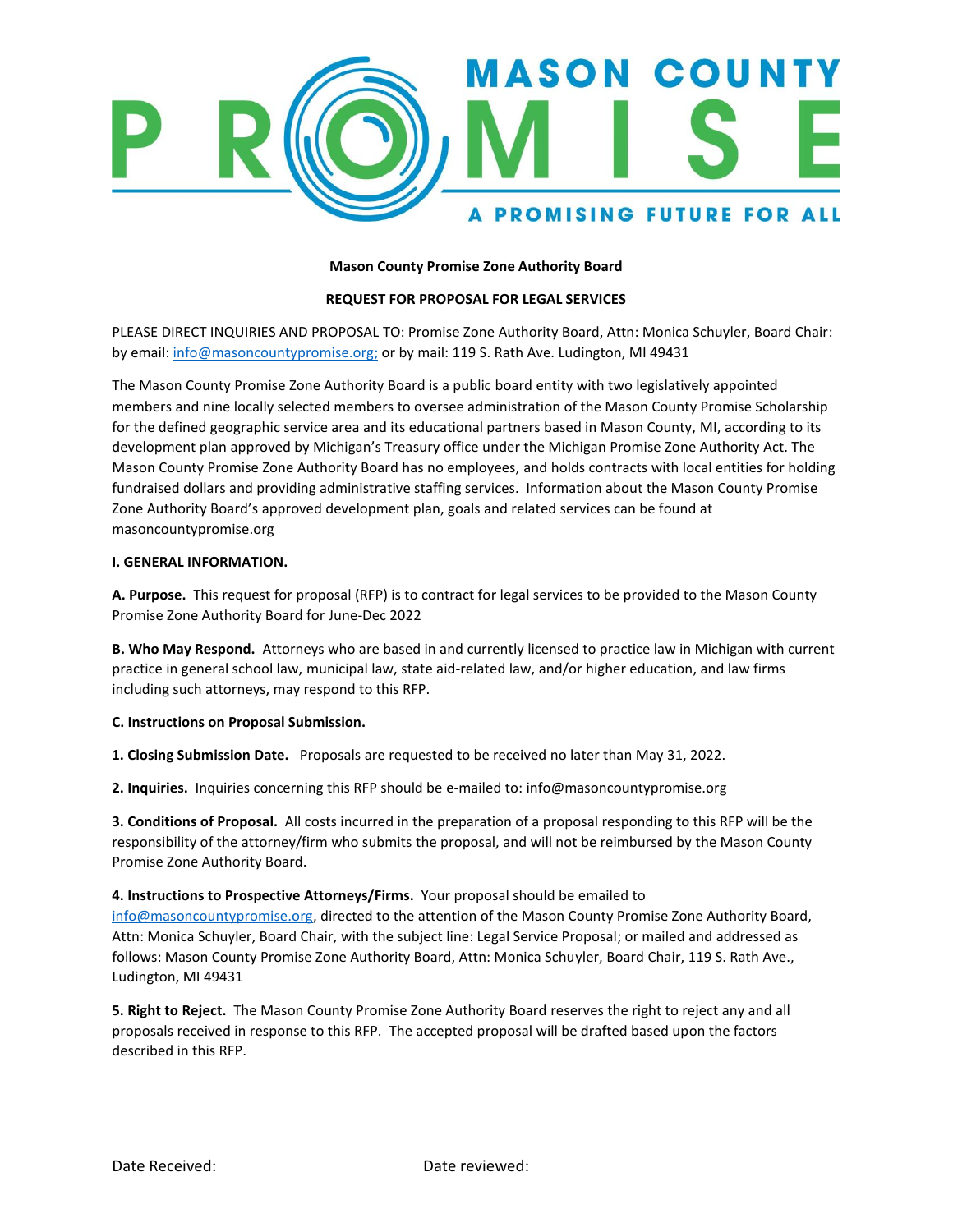

## **Mason County Promise Zone Authority Board**

## **REQUEST FOR PROPOSAL FOR LEGAL SERVICES**

PLEASE DIRECT INQUIRIES AND PROPOSAL TO: Promise Zone Authority Board, Attn: Monica Schuyler, Board Chair: by email: [info@masoncountypromise.org;](mailto:info@masoncountypromise.org) or by mail: 119 S. Rath Ave. Ludington, MI 49431

The Mason County Promise Zone Authority Board is a public board entity with two legislatively appointed members and nine locally selected members to oversee administration of the Mason County Promise Scholarship for the defined geographic service area and its educational partners based in Mason County, MI, according to its development plan approved by Michigan's Treasury office under the Michigan Promise Zone Authority Act. The Mason County Promise Zone Authority Board has no employees, and holds contracts with local entities for holding fundraised dollars and providing administrative staffing services. Information about the Mason County Promise Zone Authority Board's approved development plan, goals and related services can be found at masoncountypromise.org

### **I. GENERAL INFORMATION.**

**A. Purpose.** This request for proposal (RFP) is to contract for legal services to be provided to the Mason County Promise Zone Authority Board for June-Dec 2022

**B. Who May Respond.** Attorneys who are based in and currently licensed to practice law in Michigan with current practice in general school law, municipal law, state aid-related law, and/or higher education, and law firms including such attorneys, may respond to this RFP.

### **C. Instructions on Proposal Submission.**

**1. Closing Submission Date.** Proposals are requested to be received no later than May 31, 2022.

**2. Inquiries.** Inquiries concerning this RFP should be e‐mailed to: info@masoncountypromise.org

**3. Conditions of Proposal.** All costs incurred in the preparation of a proposal responding to this RFP will be the responsibility of the attorney/firm who submits the proposal, and will not be reimbursed by the Mason County Promise Zone Authority Board.

### **4. Instructions to Prospective Attorneys/Firms.** Your proposal should be emailed to

[info@masoncountypromise.org,](mailto:info@masoncountypromise.org) directed to the attention of the Mason County Promise Zone Authority Board, Attn: Monica Schuyler, Board Chair, with the subject line: Legal Service Proposal; or mailed and addressed as follows: Mason County Promise Zone Authority Board, Attn: Monica Schuyler, Board Chair, 119 S. Rath Ave., Ludington, MI 49431

**5. Right to Reject.** The Mason County Promise Zone Authority Board reserves the right to reject any and all proposals received in response to this RFP. The accepted proposal will be drafted based upon the factors described in this RFP.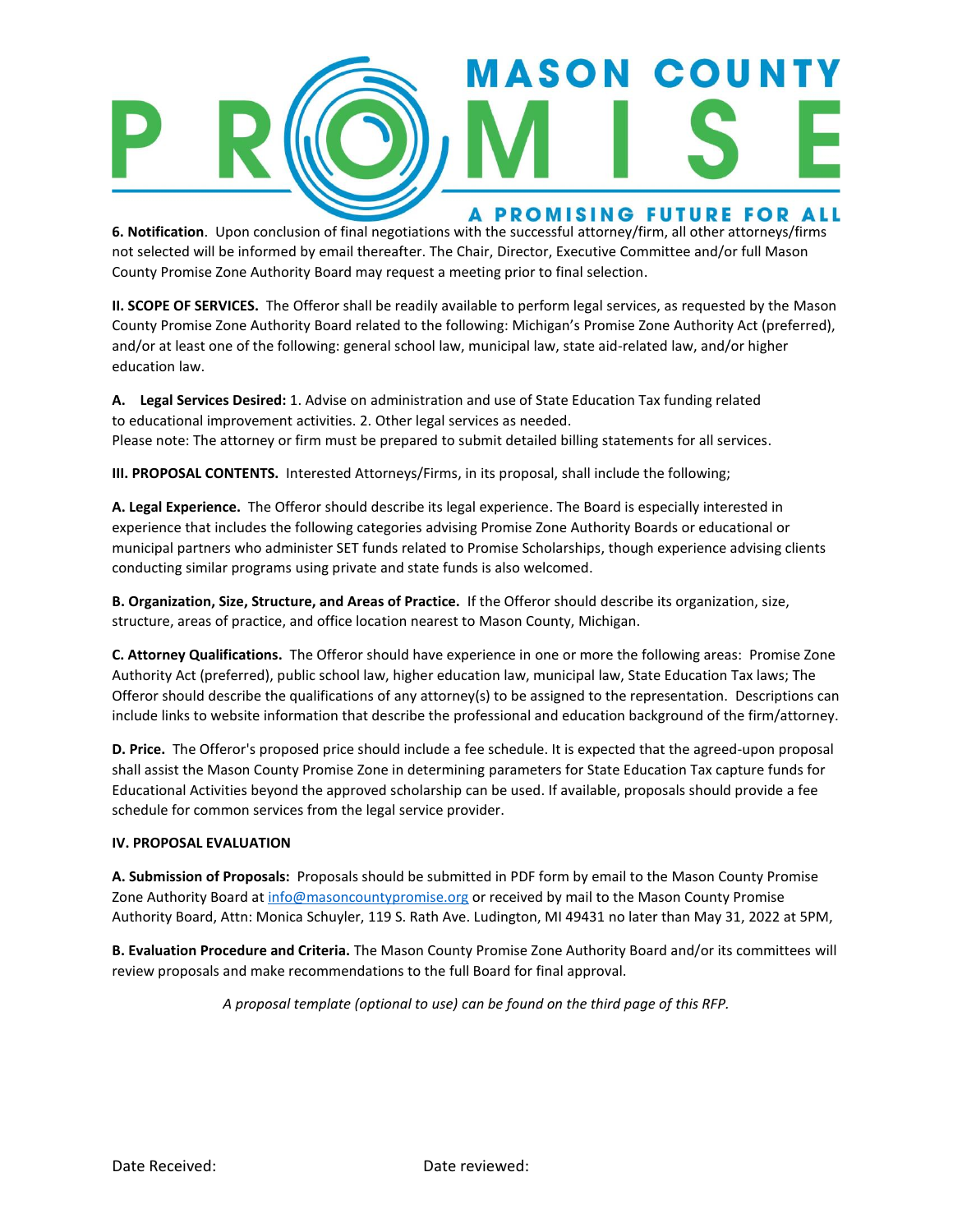

**6. Notification**. Upon conclusion of final negotiations with the successful attorney/firm, all other attorneys/firms not selected will be informed by email thereafter. The Chair, Director, Executive Committee and/or full Mason County Promise Zone Authority Board may request a meeting prior to final selection.

**II. SCOPE OF SERVICES.** The Offeror shall be readily available to perform legal services, as requested by the Mason County Promise Zone Authority Board related to the following: Michigan's Promise Zone Authority Act (preferred), and/or at least one of the following: general school law, municipal law, state aid-related law, and/or higher education law.

**A. Legal Services Desired:** 1. Advise on administration and use of State Education Tax funding related to educational improvement activities. 2. Other legal services as needed. Please note: The attorney or firm must be prepared to submit detailed billing statements for all services.

**III. PROPOSAL CONTENTS.** Interested Attorneys/Firms, in its proposal, shall include the following;

**A. Legal Experience.** The Offeror should describe its legal experience. The Board is especially interested in experience that includes the following categories advising Promise Zone Authority Boards or educational or municipal partners who administer SET funds related to Promise Scholarships, though experience advising clients conducting similar programs using private and state funds is also welcomed.

**B. Organization, Size, Structure, and Areas of Practice.** If the Offeror should describe its organization, size, structure, areas of practice, and office location nearest to Mason County, Michigan.

**C. Attorney Qualifications.** The Offeror should have experience in one or more the following areas: Promise Zone Authority Act (preferred), public school law, higher education law, municipal law, State Education Tax laws; The Offeror should describe the qualifications of any attorney(s) to be assigned to the representation. Descriptions can include links to website information that describe the professional and education background of the firm/attorney.

**D. Price.** The Offeror's proposed price should include a fee schedule. It is expected that the agreed-upon proposal shall assist the Mason County Promise Zone in determining parameters for State Education Tax capture funds for Educational Activities beyond the approved scholarship can be used. If available, proposals should provide a fee schedule for common services from the legal service provider.

# **IV. PROPOSAL EVALUATION**

**A. Submission of Proposals:** Proposals should be submitted in PDF form by email to the Mason County Promise Zone Authority Board at [info@masoncountypromise.org](mailto:info@masoncountypromise.org) or received by mail to the Mason County Promise Authority Board, Attn: Monica Schuyler, 119 S. Rath Ave. Ludington, MI 49431 no later than May 31, 2022 at 5PM,

**B. Evaluation Procedure and Criteria.** The Mason County Promise Zone Authority Board and/or its committees will review proposals and make recommendations to the full Board for final approval.

*A proposal template (optional to use) can be found on the third page of this RFP.*